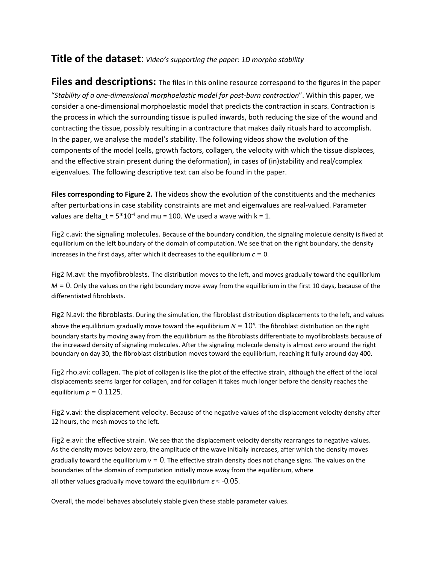## **Title of the dataset**: *Video's supporting the paper: 1D morpho stability*

**Files and descriptions:** The files in this online resource correspond to the figures in the paper "*Stability of a one-dimensional morphoelastic model for post-burn contraction*". Within this paper, we consider a one-dimensional morphoelastic model that predicts the contraction in scars. Contraction is the process in which the surrounding tissue is pulled inwards, both reducing the size of the wound and contracting the tissue, possibly resulting in a contracture that makes daily rituals hard to accomplish. In the paper, we analyse the model's stability. The following videos show the evolution of the components of the model (cells, growth factors, collagen, the velocity with which the tissue displaces, and the effective strain present during the deformation), in cases of (in)stability and real/complex eigenvalues. The following descriptive text can also be found in the paper.

**Files corresponding to Figure 2.** The videos show the evolution of the constituents and the mechanics after perturbations in case stability constraints are met and eigenvalues are real-valued. Parameter values are delta\_t =  $5*10<sup>-4</sup>$  and mu = 100. We used a wave with k = 1.

Fig2 c.avi: the signaling molecules. Because of the boundary condition, the signaling molecule density is fixed at equilibrium on the left boundary of the domain of computation. We see that on the right boundary, the density increases in the first days, after which it decreases to the equilibrium  $c = 0$ .

Fig2 M.avi: the myofibroblasts. The distribution moves to the left, and moves gradually toward the equilibrium *M* = 0. Only the values on the right boundary move away from the equilibrium in the first 10 days, because of the differentiated fibroblasts.

Fig2 N.avi: the fibroblasts. During the simulation, the fibroblast distribution displacements to the left, and values above the equilibrium gradually move toward the equilibrium  $N = 10<sup>4</sup>$ . The fibroblast distribution on the right boundary starts by moving away from the equilibrium as the fibroblasts differentiate to myofibroblasts because of the increased density of signaling molecules. After the signaling molecule density is almost zero around the right boundary on day 30, the fibroblast distribution moves toward the equilibrium, reaching it fully around day 400.

Fig2 rho.avi: collagen. The plot of collagen is like the plot of the effective strain, although the effect of the local displacements seems larger for collagen, and for collagen it takes much longer before the density reaches the equilibrium *ρ* = 0*.*1125.

Fig2 v.avi: the displacement velocity. Because of the negative values of the displacement velocity density after 12 hours, the mesh moves to the left.

Fig2 e.avi: the effective strain. We see that the displacement velocity density rearranges to negative values. As the density moves below zero, the amplitude of the wave initially increases, after which the density moves gradually toward the equilibrium  $v = 0$ . The effective strain density does not change signs. The values on the boundaries of the domain of computation initially move away from the equilibrium, where all other values gradually move toward the equilibrium *ε*<sup>≈</sup> *-*0*.*05.

Overall, the model behaves absolutely stable given these stable parameter values.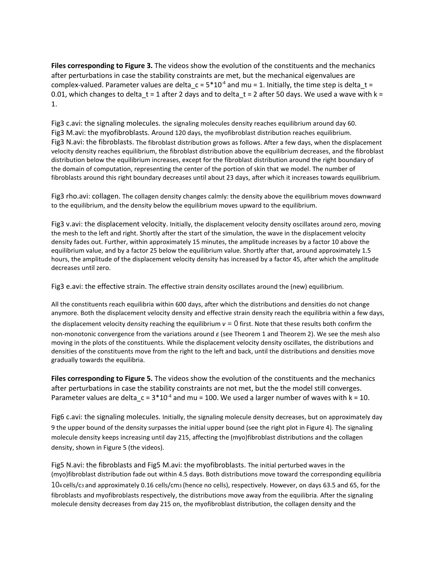**Files corresponding to Figure 3.** The videos show the evolution of the constituents and the mechanics after perturbations in case the stability constraints are met, but the mechanical eigenvalues are complex-valued. Parameter values are delta\_c =  $5*10<sup>-4</sup>$  and mu = 1. Initially, the time step is delta\_t = 0.01, which changes to delta  $t = 1$  after 2 days and to delta  $t = 2$  after 50 days. We used a wave with k = 1.

Fig3 c.avi: the signaling molecules. the signaling molecules density reaches equilibrium around day 60. Fig3 M.avi: the myofibroblasts. Around 120 days, the myofibroblast distribution reaches equilibrium. Fig3 N.avi: the fibroblasts. The fibroblast distribution grows as follows. After a few days, when the displacement velocity density reaches equilibrium, the fibroblast distribution above the equilibrium decreases, and the fibroblast distribution below the equilibrium increases, except for the fibroblast distribution around the right boundary of the domain of computation, representing the center of the portion of skin that we model. The number of fibroblasts around this right boundary decreases until about 23 days, after which it increases towards equilibrium.

Fig3 rho.avi: collagen. The collagen density changes calmly: the density above the equilibrium moves downward to the equilibrium, and the density below the equilibrium moves upward to the equilibrium.

Fig3 v.avi: the displacement velocity. Initially, the displacement velocity density oscillates around zero, moving the mesh to the left and right. Shortly after the start of the simulation, the wave in the displacement velocity density fades out. Further, within approximately 15 minutes, the amplitude increases by a factor 10 above the equilibrium value, and by a factor 25 below the equilibrium value. Shortly after that, around approximately 1.5 hours, the amplitude of the displacement velocity density has increased by a factor 45, after which the amplitude decreases until zero.

Fig3 e.avi: the effective strain. The effective strain density oscillates around the (new) equilibrium.

All the constituents reach equilibria within 600 days, after which the distributions and densities do not change anymore. Both the displacement velocity density and effective strain density reach the equilibria within a few days, the displacement velocity density reaching the equilibrium  $v = 0$  first. Note that these results both confirm the non-monotonic convergence from the variations around *ε* (see Theorem 1 and Theorem 2). We see the mesh also moving in the plots of the constituents. While the displacement velocity density oscillates, the distributions and densities of the constituents move from the right to the left and back, until the distributions and densities move gradually towards the equilibria.

**Files corresponding to Figure 5.** The videos show the evolution of the constituents and the mechanics after perturbations in case the stability constraints are not met, but the the model still converges. Parameter values are delta\_c =  $3*10<sup>-4</sup>$  and mu = 100. We used a larger number of waves with k = 10.

Fig6 c.avi: the signaling molecules. Initially, the signaling molecule density decreases, but on approximately day 9 the upper bound of the density surpasses the initial upper bound (see the right plot in Figure 4). The signaling molecule density keeps increasing until day 215, affecting the (myo)fibroblast distributions and the collagen density, shown in Figure 5 (the videos).

Fig5 N.avi: the fibroblasts and Fig5 M.avi: the myofibroblasts. The initial perturbed waves in the (myo)fibroblast distribution fade out within 4.5 days. Both distributions move toward the corresponding equilibria 104 cells/c3 and approximately 0.16 cells/cm3 (hence no cells), respectively. However, on days 63.5 and 65, for the fibroblasts and myofibroblasts respectively, the distributions move away from the equilibria. After the signaling molecule density decreases from day 215 on, the myofibroblast distribution, the collagen density and the